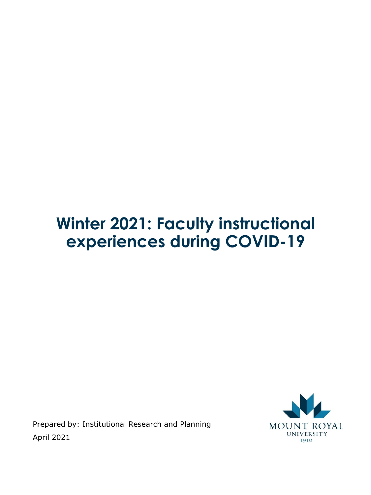# **Winter 2021: Faculty instructional experiences during COVID-19**

Prepared by: Institutional Research and Planning April 2021

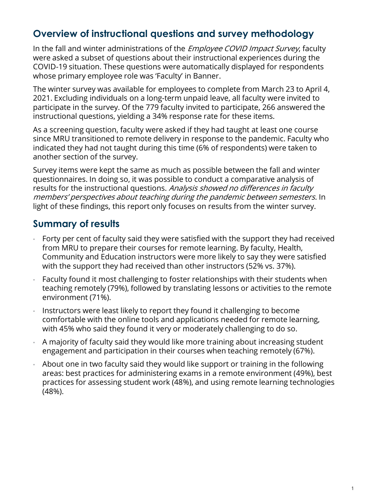# **Overview of instructional questions and survey methodology**

In the fall and winter administrations of the *Employee COVID Impact Survey*, faculty were asked a subset of questions about their instructional experiences during the COVID-19 situation. These questions were automatically displayed for respondents whose primary employee role was 'Faculty' in Banner.

The winter survey was available for employees to complete from March 23 to April 4, 2021. Excluding individuals on a long-term unpaid leave, all faculty were invited to participate in the survey. Of the 779 faculty invited to participate, 266 answered the instructional questions, yielding a 34% response rate for these items.

As a screening question, faculty were asked if they had taught at least one course since MRU transitioned to remote delivery in response to the pandemic. Faculty who indicated they had not taught during this time (6% of respondents) were taken to another section of the survey.

Survey items were kept the same as much as possible between the fall and winter questionnaires. In doing so, it was possible to conduct a comparative analysis of results for the instructional questions. Analysis showed no differences in faculty members' perspectives about teaching during the pandemic between semesters. In light of these findings, this report only focuses on results from the winter survey.

# **Summary of results**

- Forty per cent of faculty said they were satisfied with the support they had received from MRU to prepare their courses for remote learning. By faculty, Health, Community and Education instructors were more likely to say they were satisfied with the support they had received than other instructors (52% vs. 37%).
- Faculty found it most challenging to foster relationships with their students when teaching remotely (79%), followed by translating lessons or activities to the remote environment (71%).
- Instructors were least likely to report they found it challenging to become comfortable with the online tools and applications needed for remote learning, with 45% who said they found it very or moderately challenging to do so.
- A majority of faculty said they would like more training about increasing student engagement and participation in their courses when teaching remotely (67%).
- About one in two faculty said they would like support or training in the following areas: best practices for administering exams in a remote environment (49%), best practices for assessing student work (48%), and using remote learning technologies (48%).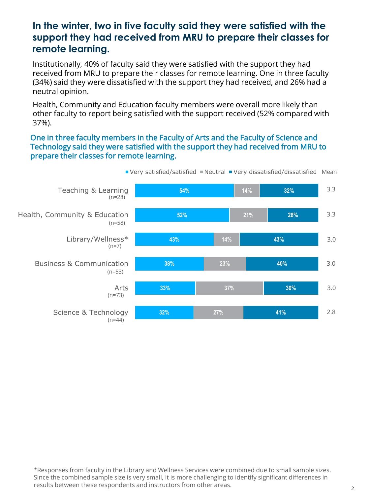### **In the winter, two in five faculty said they were satisfied with the support they had received from MRU to prepare their classes for remote learning.**

Institutionally, 40% of faculty said they were satisfied with the support they had received from MRU to prepare their classes for remote learning. One in three faculty (34%) said they were dissatisfied with the support they had received, and 26% had a neutral opinion.

Health, Community and Education faculty members were overall more likely than other faculty to report being satisfied with the support received (52% compared with 37%).

#### One in three faculty members in the Faculty of Arts and the Faculty of Science and Technology said they were satisfied with the support they had received from MRU to prepare their classes for remote learning.



Very satisfied/satisfied Neutral Very dissatisfied/dissatisfied Mean

\*Responses from faculty in the Library and Wellness Services were combined due to small sample sizes. Since the combined sample size is very small, it is more challenging to identify significant differences in results between these respondents and instructors from other areas. <sup>2</sup>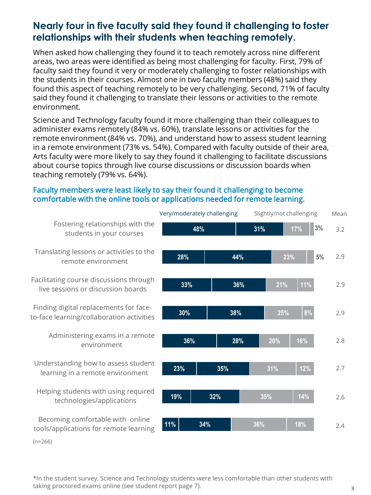## **Nearly four in five faculty said they found it challenging to foster relationships with their students when teaching remotely.**

When asked how challenging they found it to teach remotely across nine different areas, two areas were identified as being most challenging for faculty. First, 79% of faculty said they found it very or moderately challenging to foster relationships with the students in their courses. Almost one in two faculty members (48%) said they found this aspect of teaching remotely to be very challenging. Second, 71% of faculty said they found it challenging to translate their lessons or activities to the remote environment.

Science and Technology faculty found it more challenging than their colleagues to administer exams remotely (84% vs. 60%), translate lessons or activities for the remote environment (84% vs. 70%), and understand how to assess student learning in a remote environment (73% vs. 54%). Compared with faculty outside of their area, Arts faculty were more likely to say they found it challenging to facilitate discussions about course topics through live course discussions or discussion boards when teaching remotely (79% vs. 64%).

#### Faculty members were least likely to say their found it challenging to become comfortable with the online tools or applications needed for remote learning.

|                                                                                     | Very/moderately challenging |     | Slightly/not challenging |           | Mean |
|-------------------------------------------------------------------------------------|-----------------------------|-----|--------------------------|-----------|------|
| Fostering relationships with the<br>students in your courses                        | 48%                         |     | 31%                      | 3%<br>17% | 3.2  |
| Translating lessons or activities to the<br>remote environment                      | 28%                         | 44% | 23%                      | 5%        | 2.9  |
| Facilitating course discussions through<br>live sessions or discussion boards       | 33%                         | 36% | 21%                      | 11%       | 2.9  |
| Finding digital replacements for face-<br>to-face learning/collaboration activities | 30%                         | 38% | 25%                      | 8%        | 2.9  |
| Administering exams in a remote<br>environment                                      | 36%                         | 28% | 20%                      | 16%       | 2.8  |
| Understanding how to assess student<br>learning in a remote environment             | 23%                         | 35% | 31%                      | 12%       | 2.7  |
| Helping students with using required<br>technologies/applications                   | 19%                         | 32% | 35%                      | 14%       | 2.6  |
| Becoming comfortable with online<br>tools/applications for remote learning          | 11%                         | 34% | 36%                      | 18%       | 2.4  |

\*In the student survey, Science and Technology students were less comfortable than other students with taking proctored exams online (see student report page 7).  $\frac{3}{3}$ 

(n≈266)